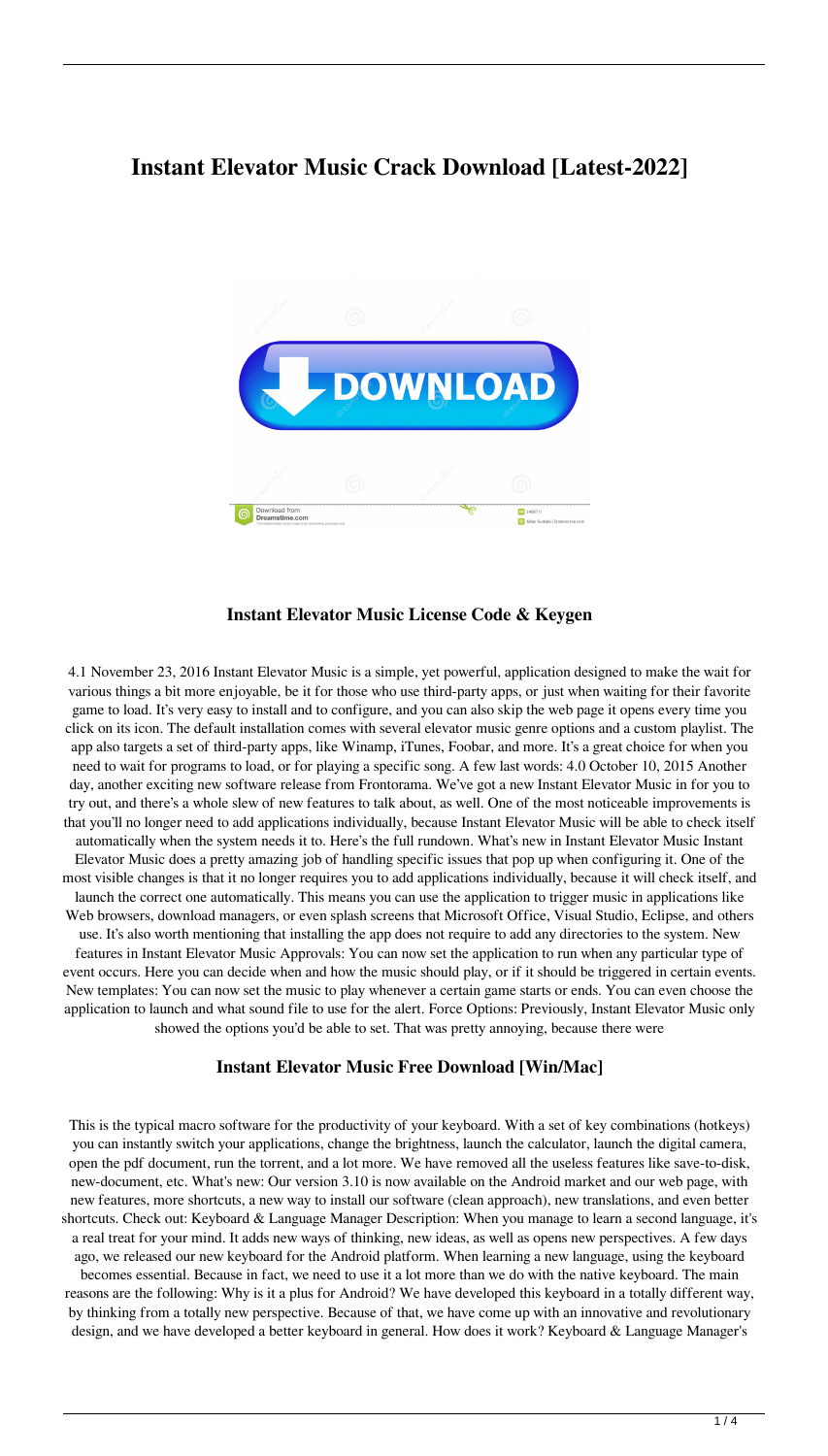# **Instant Elevator Music Crack Download [Latest-2022]**



#### **Instant Elevator Music License Code & Keygen**

4.1 November 23, 2016 Instant Elevator Music is a simple, yet powerful, application designed to make the wait for various things a bit more enjoyable, be it for those who use third-party apps, or just when waiting for their favorite game to load. It's very easy to install and to configure, and you can also skip the web page it opens every time you click on its icon. The default installation comes with several elevator music genre options and a custom playlist. The app also targets a set of third-party apps, like Winamp, iTunes, Foobar, and more. It's a great choice for when you need to wait for programs to load, or for playing a specific song. A few last words: 4.0 October 10, 2015 Another day, another exciting new software release from Frontorama. We've got a new Instant Elevator Music in for you to try out, and there's a whole slew of new features to talk about, as well. One of the most noticeable improvements is that you'll no longer need to add applications individually, because Instant Elevator Music will be able to check itself automatically when the system needs it to. Here's the full rundown. What's new in Instant Elevator Music Instant Elevator Music does a pretty amazing job of handling specific issues that pop up when configuring it. One of the most visible changes is that it no longer requires you to add applications individually, because it will check itself, and launch the correct one automatically. This means you can use the application to trigger music in applications like Web browsers, download managers, or even splash screens that Microsoft Office, Visual Studio, Eclipse, and others use. It's also worth mentioning that installing the app does not require to add any directories to the system. New features in Instant Elevator Music Approvals: You can now set the application to run when any particular type of event occurs. Here you can decide when and how the music should play, or if it should be triggered in certain events. New templates: You can now set the music to play whenever a certain game starts or ends. You can even choose the application to launch and what sound file to use for the alert. Force Options: Previously, Instant Elevator Music only showed the options you'd be able to set. That was pretty annoying, because there were

#### **Instant Elevator Music Free Download [Win/Mac]**

This is the typical macro software for the productivity of your keyboard. With a set of key combinations (hotkeys) you can instantly switch your applications, change the brightness, launch the calculator, launch the digital camera, open the pdf document, run the torrent, and a lot more. We have removed all the useless features like save-to-disk, new-document, etc. What's new: Our version 3.10 is now available on the Android market and our web page, with new features, more shortcuts, a new way to install our software (clean approach), new translations, and even better shortcuts. Check out: Keyboard & Language Manager Description: When you manage to learn a second language, it's a real treat for your mind. It adds new ways of thinking, new ideas, as well as opens new perspectives. A few days ago, we released our new keyboard for the Android platform. When learning a new language, using the keyboard becomes essential. Because in fact, we need to use it a lot more than we do with the native keyboard. The main reasons are the following: Why is it a plus for Android? We have developed this keyboard in a totally different way, by thinking from a totally new perspective. Because of that, we have come up with an innovative and revolutionary design, and we have developed a better keyboard in general. How does it work? Keyboard & Language Manager's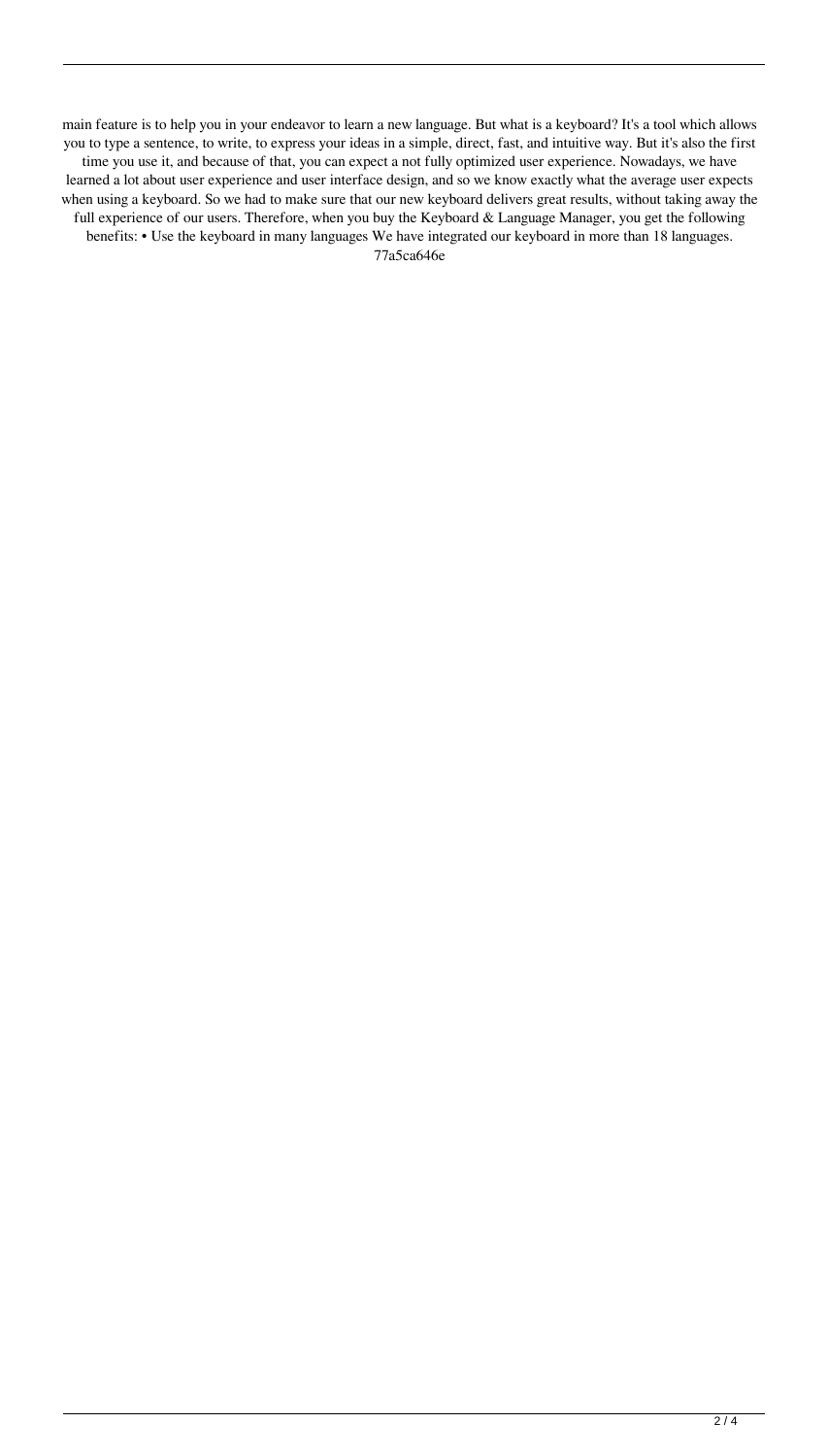main feature is to help you in your endeavor to learn a new language. But what is a keyboard? It's a tool which allows you to type a sentence, to write, to express your ideas in a simple, direct, fast, and intuitive way. But it's also the first time you use it, and because of that, you can expect a not fully optimized user experience. Nowadays, we have learned a lot about user experience and user interface design, and so we know exactly what the average user expects when using a keyboard. So we had to make sure that our new keyboard delivers great results, without taking away the full experience of our users. Therefore, when you buy the Keyboard & Language Manager, you get the following benefits: • Use the keyboard in many languages We have integrated our keyboard in more than 18 languages. 77a5ca646e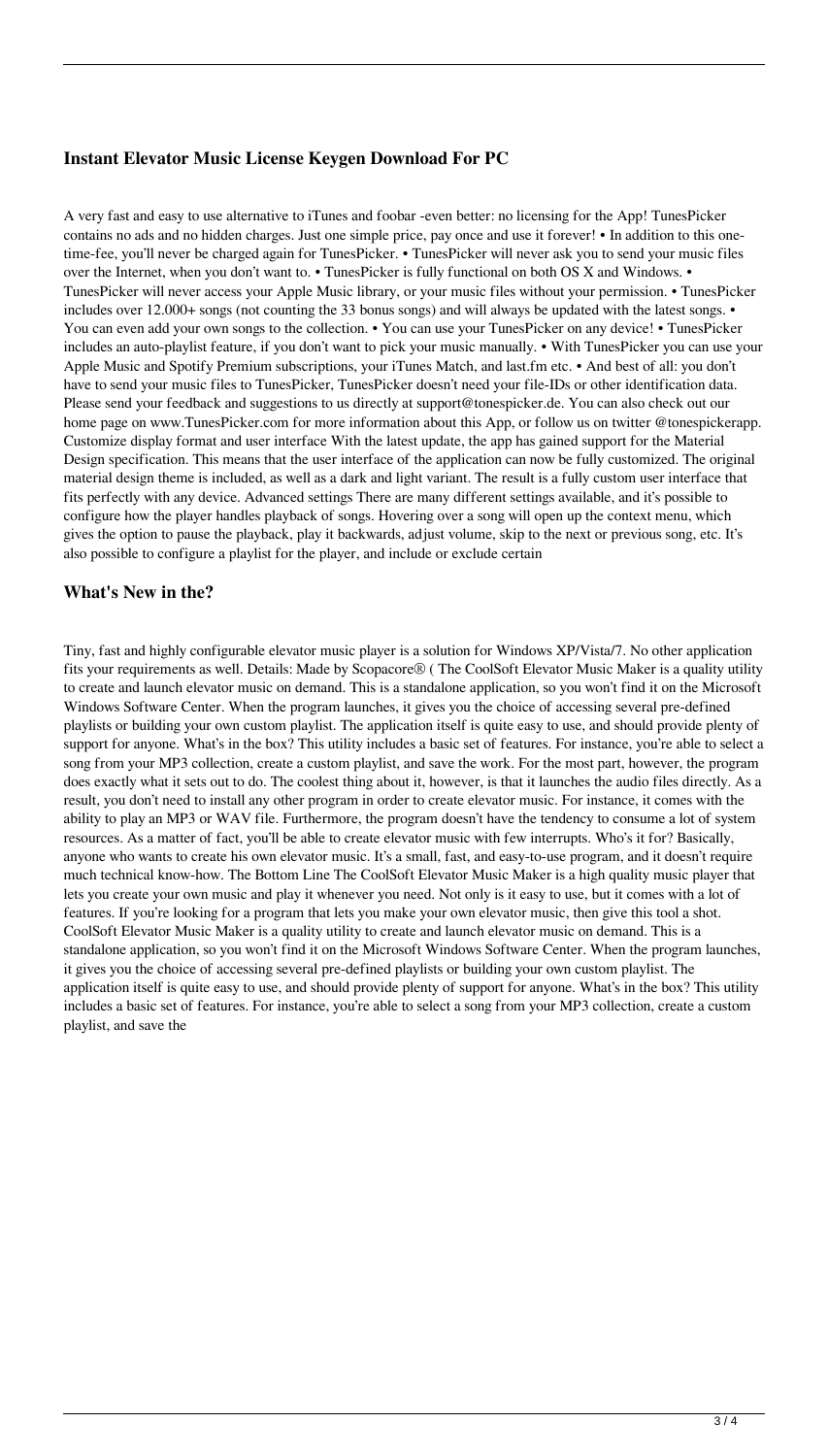## **Instant Elevator Music License Keygen Download For PC**

A very fast and easy to use alternative to iTunes and foobar -even better: no licensing for the App! TunesPicker contains no ads and no hidden charges. Just one simple price, pay once and use it forever! • In addition to this onetime-fee, you'll never be charged again for TunesPicker. • TunesPicker will never ask you to send your music files over the Internet, when you don't want to. • TunesPicker is fully functional on both OS X and Windows. • TunesPicker will never access your Apple Music library, or your music files without your permission. • TunesPicker includes over 12.000+ songs (not counting the 33 bonus songs) and will always be updated with the latest songs. • You can even add your own songs to the collection. • You can use your TunesPicker on any device! • TunesPicker includes an auto-playlist feature, if you don't want to pick your music manually. • With TunesPicker you can use your Apple Music and Spotify Premium subscriptions, your iTunes Match, and last.fm etc. • And best of all: you don't have to send your music files to TunesPicker, TunesPicker doesn't need your file-IDs or other identification data. Please send your feedback and suggestions to us directly at support@tonespicker.de. You can also check out our home page on www.TunesPicker.com for more information about this App, or follow us on twitter @tonespickerapp. Customize display format and user interface With the latest update, the app has gained support for the Material Design specification. This means that the user interface of the application can now be fully customized. The original material design theme is included, as well as a dark and light variant. The result is a fully custom user interface that fits perfectly with any device. Advanced settings There are many different settings available, and it's possible to configure how the player handles playback of songs. Hovering over a song will open up the context menu, which gives the option to pause the playback, play it backwards, adjust volume, skip to the next or previous song, etc. It's also possible to configure a playlist for the player, and include or exclude certain

### **What's New in the?**

Tiny, fast and highly configurable elevator music player is a solution for Windows XP/Vista/7. No other application fits your requirements as well. Details: Made by Scopacore® ( The CoolSoft Elevator Music Maker is a quality utility to create and launch elevator music on demand. This is a standalone application, so you won't find it on the Microsoft Windows Software Center. When the program launches, it gives you the choice of accessing several pre-defined playlists or building your own custom playlist. The application itself is quite easy to use, and should provide plenty of support for anyone. What's in the box? This utility includes a basic set of features. For instance, you're able to select a song from your MP3 collection, create a custom playlist, and save the work. For the most part, however, the program does exactly what it sets out to do. The coolest thing about it, however, is that it launches the audio files directly. As a result, you don't need to install any other program in order to create elevator music. For instance, it comes with the ability to play an MP3 or WAV file. Furthermore, the program doesn't have the tendency to consume a lot of system resources. As a matter of fact, you'll be able to create elevator music with few interrupts. Who's it for? Basically, anyone who wants to create his own elevator music. It's a small, fast, and easy-to-use program, and it doesn't require much technical know-how. The Bottom Line The CoolSoft Elevator Music Maker is a high quality music player that lets you create your own music and play it whenever you need. Not only is it easy to use, but it comes with a lot of features. If you're looking for a program that lets you make your own elevator music, then give this tool a shot. CoolSoft Elevator Music Maker is a quality utility to create and launch elevator music on demand. This is a standalone application, so you won't find it on the Microsoft Windows Software Center. When the program launches, it gives you the choice of accessing several pre-defined playlists or building your own custom playlist. The application itself is quite easy to use, and should provide plenty of support for anyone. What's in the box? This utility includes a basic set of features. For instance, you're able to select a song from your MP3 collection, create a custom playlist, and save the